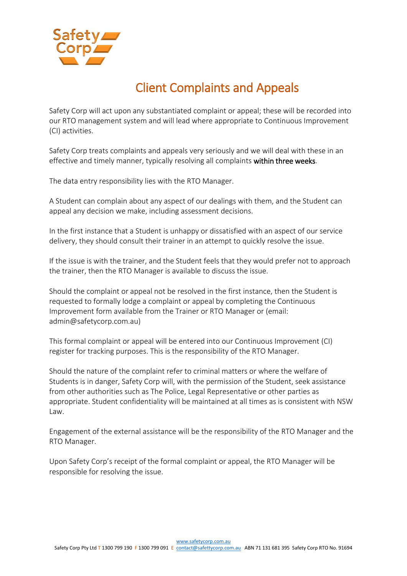

## Client Complaints and Appeals

Safety Corp will act upon any substantiated complaint or appeal; these will be recorded into our RTO management system and will lead where appropriate to Continuous Improvement (CI) activities.

Safety Corp treats complaints and appeals very seriously and we will deal with these in an effective and timely manner, typically resolving all complaints within three weeks.

The data entry responsibility lies with the RTO Manager.

A Student can complain about any aspect of our dealings with them, and the Student can appeal any decision we make, including assessment decisions.

In the first instance that a Student is unhappy or dissatisfied with an aspect of our service delivery, they should consult their trainer in an attempt to quickly resolve the issue.

If the issue is with the trainer, and the Student feels that they would prefer not to approach the trainer, then the RTO Manager is available to discuss the issue.

Should the complaint or appeal not be resolved in the first instance, then the Student is requested to formally lodge a complaint or appeal by completing the Continuous Improvement form available from the Trainer or RTO Manager or (email: admin@safetycorp.com.au)

This formal complaint or appeal will be entered into our Continuous Improvement (CI) register for tracking purposes. This is the responsibility of the RTO Manager.

Should the nature of the complaint refer to criminal matters or where the welfare of Students is in danger, Safety Corp will, with the permission of the Student, seek assistance from other authorities such as The Police, Legal Representative or other parties as appropriate. Student confidentiality will be maintained at all times as is consistent with NSW Law.

Engagement of the external assistance will be the responsibility of the RTO Manager and the RTO Manager.

Upon Safety Corp's receipt of the formal complaint or appeal, the RTO Manager will be responsible for resolving the issue.